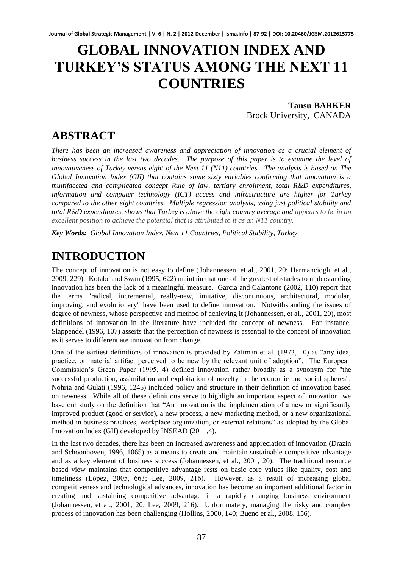# **GLOBAL INNOVATION INDEX AND TURKEY'S STATUS AMONG THE NEXT 11 COUNTRIES**

**Tansu BARKER** Brock University, CANADA

# **ABSTRACT**

*There has been an increased awareness and appreciation of innovation as a crucial element of business success in the last two decades. The purpose of this paper is to examine the level of innovativeness of Turkey versus eight of the Next 11 (N11) countries. The analysis is based on The Global Innovation Index (GII) that contains some sixty variables confirming that innovation is a multifaceted and complicated concept Rule of law, tertiary enrollment, total R&D expenditures, information and computer technology (ICT) access and infrastructure are higher for Turkey compared to the other eight countries. Multiple regression analysis, using just political stability and total R&D expenditures, shows that Turkey is above the eight country average and appears to be in an excellent position to achieve the potential that is attributed to it as an N11 country.* 

*Key Words: Global Innovation Index, Next 11 Countries, Political Stability, Turkey*

# **INTRODUCTION**

The concept of innovation is not easy to define [\(Johannessen, e](http://search.proquest.com.proxy.library.brocku.ca/docview.lateralsearchlink:lateralsearch/sng/author/Johannessen,+Jon-Arild/$N?site=abiglobal&t:ac=211855568/1321116A10749EB5F90/11&t:cp=maintain/resultcitationblocks)t al., 2001, 20; Harmancioglu et al., 2009, 229). Kotabe and Swan (1995, 622) maintain that one of the greatest obstacles to understanding innovation has been the lack of a meaningful measure. Garcia and Calantone (2002, 110) report that the terms "radical, incremental, really-new, imitative, discontinuous, architectural, modular, improving, and evolutionary" have been used to define innovation. Notwithstanding the issues of degree of newness, whose perspective and method of achieving it (Johannessen, et al., 2001, 20), most definitions of innovation in the literature have included the concept of newness. For instance, Slappendel (1996, 107) asserts that the perception of newness is essential to the concept of innovation as it serves to differentiate innovation from change.

One of the earliest definitions of innovation is provided by Zaltman et al. (1973, 10) as "any idea, practice, or material artifact perceived to be new by the relevant unit of adoption". The European Commission's Green Paper (1995, 4) defined innovation rather broadly as a synonym for "the successful production, assimilation and exploitation of novelty in the economic and social spheres". Nohria and Gulati (1996, 1245) included policy and structure in their definition of innovation based on newness. While all of these definitions serve to highlight an important aspect of innovation, we base our study on the definition that "An innovation is the implementation of a new or significantly improved product (good or service), a new process, a new marketing method, or a new organizational method in business practices, workplace organization, or external relations" as adopted by the Global Innovation Index (GII) developed by INSEAD (2011,4).

In the last two decades, there has been an increased awareness and appreciation of innovation (Drazin and Schoonhoven, 1996, 1065) as a means to create and maintain sustainable competitive advantage and as a key element of business success (Johannessen, et al., 2001, 20). The traditional resource based view maintains that competitive advantage rests on basic core values like quality, cost and timeliness (López, 2005, 663; Lee, 2009, 216). However, as a result of increasing global competitiveness and technological advances, innovation has become an important additional factor in creating and sustaining competitive advantage in a rapidly changing business environment (Johannessen, et al., 2001, 20; Lee, 2009, 216). Unfortunately, managing the risky and complex process of innovation has been challenging (Hollins, 2000, 140; Bueno et al., 2008, 156).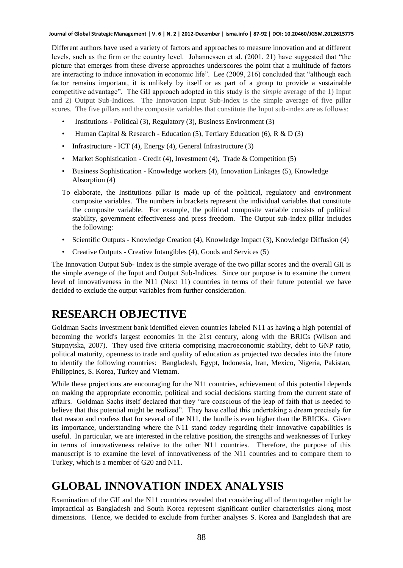#### **Journal of Global Strategic Management | V. 6 | N. 2 | 2012-December | isma.info | 87-92 | DOI: 10.20460/JGSM.2012615775**

Different authors have used a variety of factors and approaches to measure innovation and at different levels, such as the firm or the country level. Johannessen et al. (2001, 21) have suggested that "the picture that emerges from these diverse approaches underscores the point that a multitude of factors are interacting to induce innovation in economic life". Lee (2009, 216) concluded that "although each factor remains important, it is unlikely by itself or as part of a group to provide a sustainable competitive advantage". The GII approach adopted in this study is the *simple* average of the 1) Input and 2) Output Sub-Indices. The Innovation Input Sub-Index is the simple average of five pillar scores. The five pillars and the composite variables that constitute the Input sub-index are as follows:

- Institutions Political (3), Regulatory (3), Business Environment (3)
- Human Capital & Research Education (5), Tertiary Education (6), R & D (3)
- Infrastructure ICT (4), Energy (4), General Infrastructure (3)
- Market Sophistication Credit (4), Investment (4), Trade & Competition (5)
- Business Sophistication Knowledge workers (4), Innovation Linkages (5), Knowledge Absorption (4)
- To elaborate, the Institutions pillar is made up of the political, regulatory and environment composite variables. The numbers in brackets represent the individual variables that constitute the composite variable. For example, the political composite variable consists of political stability, government effectiveness and press freedom. The Output sub-index pillar includes the following:
- Scientific Outputs Knowledge Creation (4), Knowledge Impact (3), Knowledge Diffusion (4)
- Creative Outputs Creative Intangibles (4), Goods and Services (5)

The Innovation Output Sub- Index is the simple average of the two pillar scores and the overall GII is the simple average of the Input and Output Sub-Indices. Since our purpose is to examine the current level of innovativeness in the N11 (Next 11) countries in terms of their future potential we have decided to exclude the output variables from further consideration.

# **RESEARCH OBJECTIVE**

Goldman Sachs investment bank identified eleven countries labeled N11 as having a high potential of becoming the world's largest economies in the 21st century, along with the BRICs (Wilson and Stupnytska, 2007). They used five criteria comprising macroeconomic stability, debt to GNP ratio, political maturity, openness to trade and quality of education as projected two decades into the future to identify the following countries: Bangladesh, Egypt, Indonesia, Iran, Mexico, Nigeria, Pakistan, Philippines, S. Korea, Turkey and Vietnam.

While these projections are encouraging for the N11 countries, achievement of this potential depends on making the appropriate economic, political and social decisions starting from the current state of affairs. Goldman Sachs itself declared that they "are conscious of the leap of faith that is needed to believe that this potential might be realized". They have called this undertaking a dream precisely for that reason and confess that for several of the N11, the hurdle is even higher than the BRICKs. Given its importance, understanding where the N11 stand *today* regarding their innovative capabilities is useful. In particular, we are interested in the relative position, the strengths and weaknesses of Turkey in terms of innovativeness relative to the other N11 countries. Therefore, the purpose of this manuscript is to examine the level of innovativeness of the N11 countries and to compare them to Turkey, which is a member of G20 and N11.

# **GLOBAL INNOVATION INDEX ANALYSIS**

Examination of the GII and the N11 countries revealed that considering all of them together might be impractical as Bangladesh and South Korea represent significant outlier characteristics along most dimensions. Hence, we decided to exclude from further analyses S. Korea and Bangladesh that are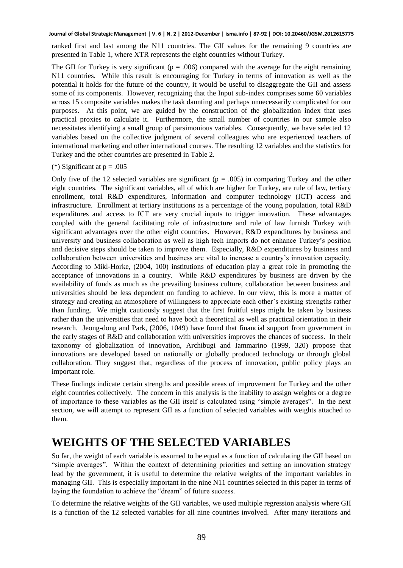### **Journal of Global Strategic Management | V. 6 | N. 2 | 2012-December | isma.info | 87-92 | DOI: 10.20460/JGSM.2012615775**

ranked first and last among the N11 countries. The GII values for the remaining 9 countries are presented in Table 1, where XTR represents the eight countries without Turkey.

The GII for Turkey is very significant ( $p = .006$ ) compared with the average for the eight remaining N11 countries. While this result is encouraging for Turkey in terms of innovation as well as the potential it holds for the future of the country, it would be useful to disaggregate the GII and assess some of its components. However, recognizing that the Input sub-index comprises some 60 variables across 15 composite variables makes the task daunting and perhaps unnecessarily complicated for our purposes. At this point, we are guided by the construction of the globalization index that uses practical proxies to calculate it. Furthermore, the small number of countries in our sample also necessitates identifying a small group of parsimonious variables. Consequently, we have selected 12 variables based on the collective judgment of several colleagues who are experienced teachers of international marketing and other international courses. The resulting 12 variables and the statistics for Turkey and the other countries are presented in Table 2.

### (\*) Significant at  $p = .005$

Only five of the 12 selected variables are significant ( $p = .005$ ) in comparing Turkey and the other eight countries. The significant variables, all of which are higher for Turkey, are rule of law, tertiary enrollment, total R&D expenditures, information and computer technology (ICT) access and infrastructure. Enrollment at tertiary institutions as a percentage of the young population, total R&D expenditures and access to ICT are very crucial inputs to trigger innovation. These advantages coupled with the general facilitating role of infrastructure and rule of law furnish Turkey with significant advantages over the other eight countries. However, R&D expenditures by business and university and business collaboration as well as high tech imports do not enhance Turkey's position and decisive steps should be taken to improve them. Especially, R&D expenditures by business and collaboration between universities and business are vital to increase a country's innovation capacity. According to Mikl-Horke, (2004, 100) institutions of education play a great role in promoting the acceptance of innovations in a country. While R&D expenditures by business are driven by the availability of funds as much as the prevailing business culture, collaboration between business and universities should be less dependent on funding to achieve. In our view, this is more a matter of strategy and creating an atmosphere of willingness to appreciate each other's existing strengths rather than funding. We might cautiously suggest that the first fruitful steps might be taken by business rather than the universities that need to have both a theoretical as well as practical orientation in their research. Jeong-dong and Park, (2006, 1049) have found that financial support from government in the early stages of R&D and collaboration with universities improves the chances of success. In their taxonomy of globalization of innovation, Archibugi and Iammarino (1999, 320) propose that innovations are developed based on nationally or globally produced technology or through global collaboration. They suggest that, regardless of the process of innovation, public policy plays an important role.

These findings indicate certain strengths and possible areas of improvement for Turkey and the other eight countries collectively. The concern in this analysis is the inability to assign weights or a degree of importance to these variables as the GII itself is calculated using "simple averages". In the next section, we will attempt to represent GII as a function of selected variables with weights attached to them.

### **WEIGHTS OF THE SELECTED VARIABLES**

So far, the weight of each variable is assumed to be equal as a function of calculating the GII based on "simple averages". Within the context of determining priorities and setting an innovation strategy lead by the government, it is useful to determine the relative weights of the important variables in managing GII. This is especially important in the nine N11 countries selected in this paper in terms of laying the foundation to achieve the "dream" of future success.

To determine the relative weights of the GII variables, we used multiple regression analysis where GII is a function of the 12 selected variables for all nine countries involved. After many iterations and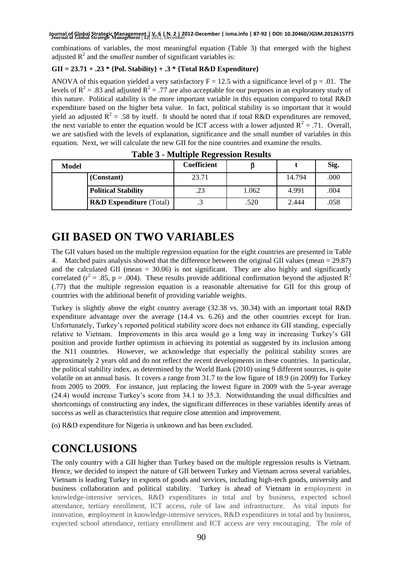### **Journal of Global Strategic Management | 12|** 2012, December **Journal of Global Strategic Management | V. 6 | N. 2 | 2012-December | isma.info | 87-92 | DOI: 10.20460/JGSM.2012615775**

combinations of variables, the most meaningful equation (Table 3) that emerged with the highest adjusted  $R^2$  and the *smallest* number of significant variables is:

### **GII = 23.71 + .23 \* {Pol. Stability} + .3 \* {Total R&D Expenditure}**

ANOVA of this equation yielded a very satisfactory  $F = 12.5$  with a significance level of  $p = .01$ . The levels of  $R^2 = .83$  and adjusted  $R^2 = .77$  are also acceptable for our purposes in an exploratory study of this nature. Political stability is the more important variable in this equation compared to total R&D expenditure based on the higher beta value. In fact, political stability is so important that it would yield an adjusted  $R^2 = .58$  by itself. It should be noted that if total R&D expenditures are removed, the next variable to enter the equation would be ICT access with a lower adjusted  $R^2 = .71$ . Overall, we are satisfied with the levels of explanation, significance and the small number of variables in this equation. Next, we will calculate the new GII for the nine countries and examine the results.

| .     |                                    |             |       |        |      |
|-------|------------------------------------|-------------|-------|--------|------|
| Model |                                    | Coefficient |       |        | Sig. |
|       | (Constant)                         | 23.71       |       | 14.794 | .000 |
|       | <b>Political Stability</b>         | .23         | 1.062 | 4.991  | .004 |
|       | <b>R&amp;D Expenditure (Total)</b> |             | .520  | 2.444  | .058 |

**Table 3 - Multiple Regression Results**

## **GII BASED ON TWO VARIABLES**

The GII values based on the multiple regression equation for the eight countries are presented in Table 4. Matched pairs analysis showed that the difference between the original GII values (mean = 29.87) and the calculated GII (mean = 30.06) is not significant. They are also highly and significantly correlated ( $r^2 = .85$ , p = .004). These results provide additional confirmation beyond the adjusted R<sup>2</sup> (.77) that the multiple regression equation is a reasonable alternative for GII for this group of countries with the additional benefit of providing variable weights.

Turkey is slightly above the eight country average (32.38 vs. 30.34) with an important total R&D expenditure advantage over the average (14.4 vs. 6.26) and the other countries except for Iran. Unfortunately, Turkey's reported political stability score does not enhance its GII standing, especially relative to Vietnam. Improvements in this area would go a long way in increasing Turkey's GII position and provide further optimism in achieving its potential as suggested by its inclusion among the N11 countries. However, we acknowledge that especially the political stability scores are approximately 2 years old and do not reflect the recent developments in these countries. In particular, the political stability index, as determined by the World Bank (2010) using 9 different sources, is quite volatile on an annual basis. It covers a range from 31.7 to the low figure of 18.9 (in 2009) for Turkey from 2005 to 2009. For instance, just replacing the lowest figure in 2009 with the 5-year average (24.4) would increase Turkey's score from 34.1 to 35.3. Notwithstanding the usual difficulties and shortcomings of constructing any index, the significant differences in these variables identify areas of success as well as characteristics that require close attention and improvement.

(o) R&D expenditure for Nigeria is unknown and has been excluded.

# **CONCLUSIONS**

The only country with a GII higher than Turkey based on the multiple regression results is Vietnam. Hence, we decided to inspect the nature of GII between Turkey and Vietnam across several variables. Vietnam is leading Turkey in exports of goods and services, including high-tech goods, university and business collaboration and political stability. Turkey is ahead of Vietnam in employment in knowledge-intensive services, R&D expenditures in total and by business, expected school attendance, tertiary enrollment, ICT access, rule of law and infrastructure. As vital inputs for innovation, employment in knowledge-intensive services, R&D expenditures in total and by business, expected school attendance, tertiary enrollment and ICT access are very encouraging. The role of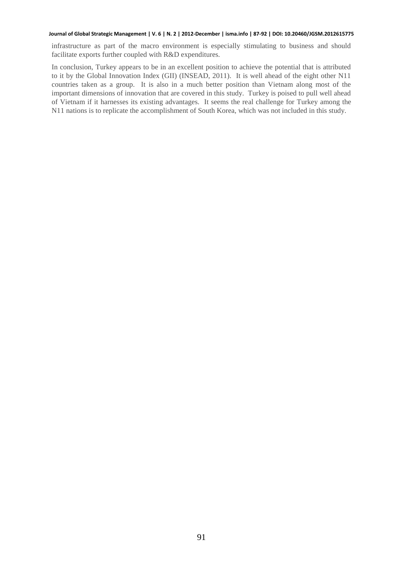#### **Journal of Global Strategic Management | V. 6 | N. 2 | 2012-December | isma.info | 87-92 | DOI: 10.20460/JGSM.2012615775**

infrastructure as part of the macro environment is especially stimulating to business and should facilitate exports further coupled with R&D expenditures.

In conclusion, Turkey appears to be in an excellent position to achieve the potential that is attributed to it by the Global Innovation Index (GII) (INSEAD, 2011). It is well ahead of the eight other N11 countries taken as a group. It is also in a much better position than Vietnam along most of the important dimensions of innovation that are covered in this study. Turkey is poised to pull well ahead of Vietnam if it harnesses its existing advantages. It seems the real challenge for Turkey among the N11 nations is to replicate the accomplishment of South Korea, which was not included in this study.